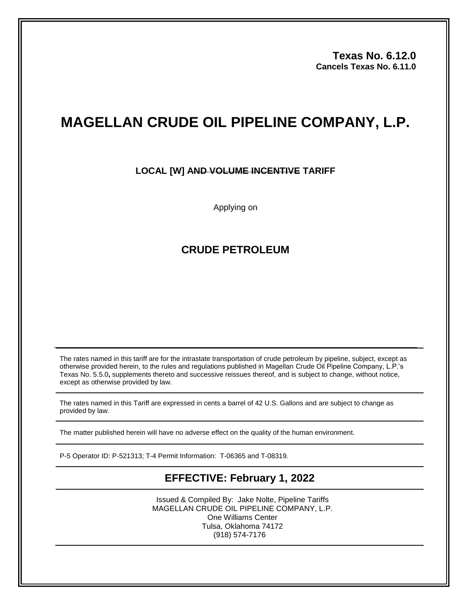**Texas No. 6.12.0 Cancels Texas No. 6.11.0**

# **MAGELLAN CRUDE OIL PIPELINE COMPANY, L.P.**

### **LOCAL [W] AND VOLUME INCENTIVE TARIFF**

Applying on

## **CRUDE PETROLEUM**

The rates named in this tariff are for the intrastate transportation of crude petroleum by pipeline, subject, except as otherwise provided herein, to the rules and regulations published in Magellan Crude Oil Pipeline Company, L.P.'s Texas No. 5.5.0**,** supplements thereto and successive reissues thereof, and is subject to change, without notice, except as otherwise provided by law.

The rates named in this Tariff are expressed in cents a barrel of 42 U.S. Gallons and are subject to change as provided by law.

The matter published herein will have no adverse effect on the quality of the human environment.

P-5 Operator ID: P-521313; T-4 Permit Information: T-06365 and T-08319.

# **EFFECTIVE: February 1, 2022**

Issued & Compiled By: Jake Nolte, Pipeline Tariffs MAGELLAN CRUDE OIL PIPELINE COMPANY, L.P. One Williams Center Tulsa, Oklahoma 74172 (918) 574-7176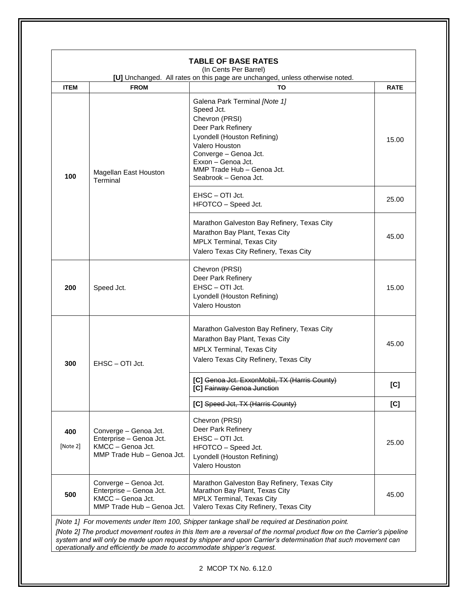| <b>ITEM</b>     | <b>FROM</b>                                                                                         | [U] Unchanged. All rates on this page are unchanged, unless otherwise noted.<br>TO                                                                                                                                                         | <b>RATE</b> |
|-----------------|-----------------------------------------------------------------------------------------------------|--------------------------------------------------------------------------------------------------------------------------------------------------------------------------------------------------------------------------------------------|-------------|
| 100             | Magellan East Houston<br>Terminal                                                                   | Galena Park Terminal [Note 1]<br>Speed Jct.<br>Chevron (PRSI)<br>Deer Park Refinery<br>Lyondell (Houston Refining)<br>Valero Houston<br>Converge - Genoa Jct.<br>Exxon - Genoa Jct.<br>MMP Trade Hub - Genoa Jct.<br>Seabrook - Genoa Jct. | 15.00       |
|                 |                                                                                                     | EHSC - OTI Jct.<br>HFOTCO - Speed Jct.                                                                                                                                                                                                     | 25.00       |
|                 |                                                                                                     | Marathon Galveston Bay Refinery, Texas City<br>Marathon Bay Plant, Texas City<br>MPLX Terminal, Texas City<br>Valero Texas City Refinery, Texas City                                                                                       | 45.00       |
| 200             | Speed Jct.                                                                                          | Chevron (PRSI)<br>Deer Park Refinery<br>EHSC-OTI Jct.<br>Lyondell (Houston Refining)<br>Valero Houston                                                                                                                                     | 15.00       |
| 300             | EHSC - OTI Jct.                                                                                     | Marathon Galveston Bay Refinery, Texas City<br>Marathon Bay Plant, Texas City<br>MPLX Terminal, Texas City<br>Valero Texas City Refinery, Texas City                                                                                       | 45.00       |
|                 |                                                                                                     | [C] Genoa Jct. ExxonMobil, TX (Harris County)<br>[C] Fairway Genoa Junction                                                                                                                                                                | [C]         |
|                 |                                                                                                     | [C] Speed Jct, TX (Harris County)                                                                                                                                                                                                          | [C]         |
| 400<br>[Note 2] | Converge - Genoa Jct.<br>Enterprise - Genoa Jct.<br>KMCC - Genoa Jct.<br>MMP Trade Hub - Genoa Jct. | Chevron (PRSI)<br>Deer Park Refinery<br>EHSC - OTI Jct.<br>HFOTCO - Speed Jct.<br>Lyondell (Houston Refining)<br>Valero Houston                                                                                                            | 25.00       |
| 500             | Converge - Genoa Jct.<br>Enterprise - Genoa Jct.<br>KMCC - Genoa Jct.<br>MMP Trade Hub - Genoa Jct. | Marathon Galveston Bay Refinery, Texas City<br>Marathon Bay Plant, Texas City<br>MPLX Terminal, Texas City<br>Valero Texas City Refinery, Texas City                                                                                       | 45.00       |

2 MCOP TX No. 6.12.0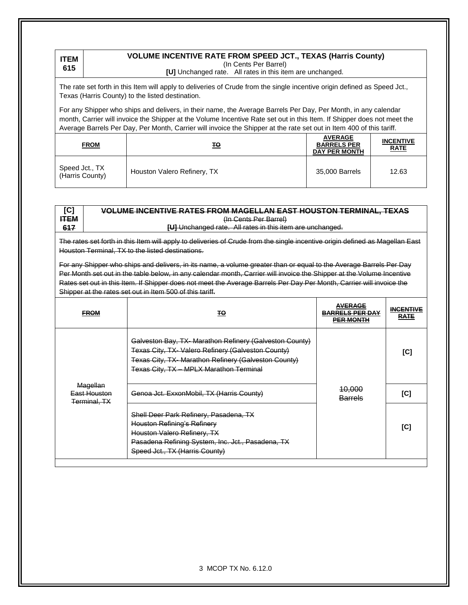#### **ITEM 615**

### **VOLUME INCENTIVE RATE FROM SPEED JCT., TEXAS (Harris County)** (In Cents Per Barrel)

**[U]** Unchanged rate. All rates in this item are unchanged.

The rate set forth in this Item will apply to deliveries of Crude from the single incentive origin defined as Speed Jct., Texas (Harris County) to the listed destination.

For any Shipper who ships and delivers, in their name, the Average Barrels Per Day, Per Month, in any calendar month, Carrier will invoice the Shipper at the Volume Incentive Rate set out in this Item. If Shipper does not meet the Average Barrels Per Day, Per Month, Carrier will invoice the Shipper at the rate set out in Item 400 of this tariff.

| <b>FROM</b>                       | <u> TO</u>                  | <b>AVERAGE</b><br><b>BARRELS PER</b><br><b>DAY PER MONTH</b> | <b>INCENTIVE</b><br><b>RATE</b> |
|-----------------------------------|-----------------------------|--------------------------------------------------------------|---------------------------------|
| Speed Jct., TX<br>(Harris County) | Houston Valero Refinery, TX | 35,000 Barrels                                               | 12.63                           |

| [C]         | <b>VOLUME INCENTIVE RATES FROM MAGELLAN EAST HOUSTON TERMINAL, TEXAS</b> |
|-------------|--------------------------------------------------------------------------|
| <b>HTEM</b> | (In Cents Per Barrel)                                                    |
| 617         | <b>[U]</b> Unchanged rate. All rates in this item are unchanged.         |

The rates set forth in this Item will apply to deliveries of Crude from the single incentive origin defined as Magellan East Houston Terminal, TX to the listed destinations.

For any Shipper who ships and delivers, in its name, a volume greater than or equal to the Average Barrels Per Day Per Month set out in the table below, in any calendar month, Carrier will invoice the Shipper at the Volume Incentive Rates set out in this Item. If Shipper does not meet the Average Barrels Per Day Per Month, Carrier will invoice the Shipper at the rates set out in Item 500 of this tariff.

| <b>FROM</b>                                     | ŦΘ                                                                                                                                                                                                             | <b>AVERAGE</b><br><b>BARRELS PER DAY</b><br><b>PER MONTH</b> | <b>INCENTIVE</b><br><b>RATE</b> |
|-------------------------------------------------|----------------------------------------------------------------------------------------------------------------------------------------------------------------------------------------------------------------|--------------------------------------------------------------|---------------------------------|
|                                                 | Galveston Bay, TX-Marathon Refinery (Galveston County)<br>Texas City, TX- Valero Refinery (Galveston County)<br>Texas City, TX-Marathon Refinery (Galveston County)<br>Texas City, TX - MPLX Marathon Terminal |                                                              | IC.                             |
| Magellan<br>East Houston<br><b>Terminal, TX</b> | Genoa Jct. ExxonMobil, TX (Harris County)                                                                                                                                                                      | <del>10,000</del><br><b>Barrels</b>                          | וסו                             |
|                                                 | Shell Deer Park Refinery, Pasadena, TX<br><b>Houston Refining's Refinery</b><br>Houston Valero Refinery, TX<br>Pasadena Refining System, Inc. Jct., Pasadena, TX<br>Speed Jct., TX (Harris County)             |                                                              | [C]                             |